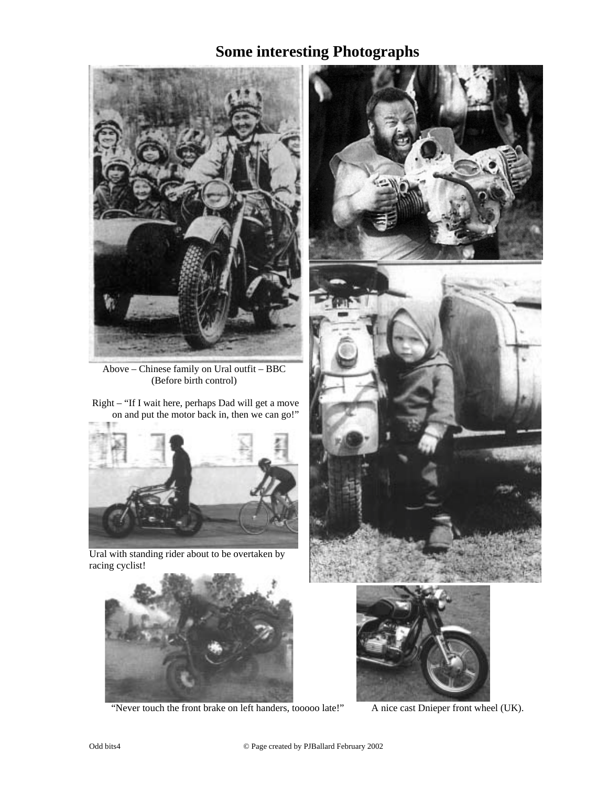## **Some interesting Photographs**



Above – Chinese family on Ural outfit – BBC (Before birth control)

Right – "If I wait here, perhaps Dad will get a move on and put the motor back in, then we can go!"



Ural with standing rider about to be overtaken by racing cyclist!



"Never touch the front brake on left handers, tooooo late!" A nice cast Dnieper front wheel (UK).





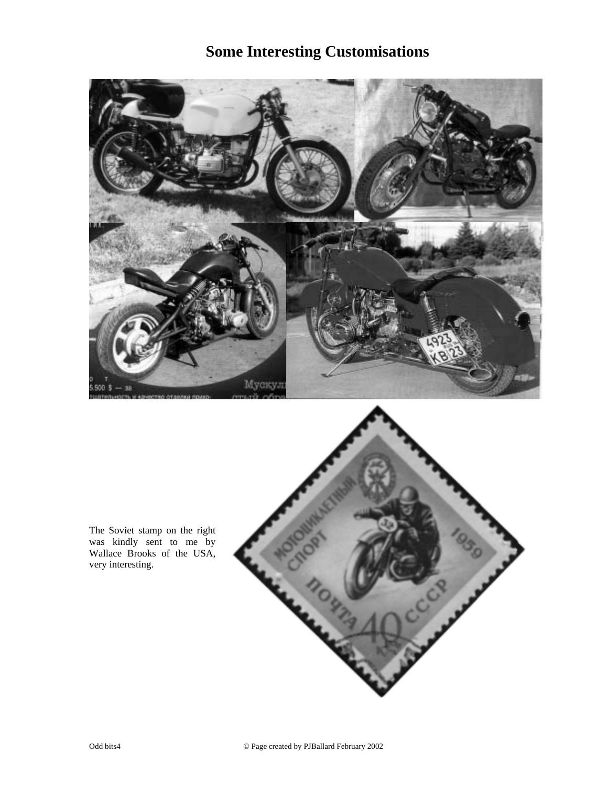## **Some Interesting Customisations**



The Soviet stamp on the right was kindly sent to me by Wallace Brooks of the USA, very interesting.

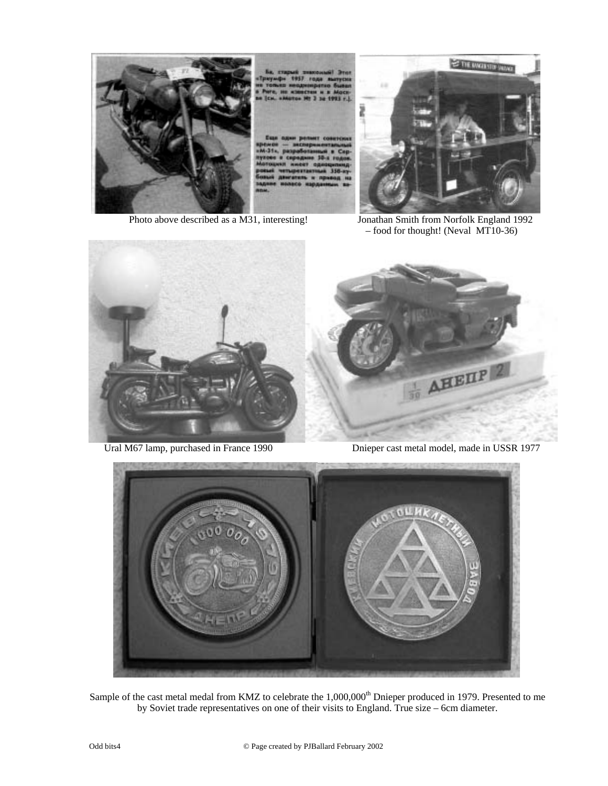



Photo above described as a M31, interesting! Jonathan Smith from Norfolk England 1992 – food for thought! (Neval MT10-36)





Ural M67 lamp, purchased in France 1990 Dnieper cast metal model, made in USSR 1977



Sample of the cast metal medal from KMZ to celebrate the 1,000,000<sup>th</sup> Dnieper produced in 1979. Presented to me by Soviet trade representatives on one of their visits to England. True size – 6cm diameter.